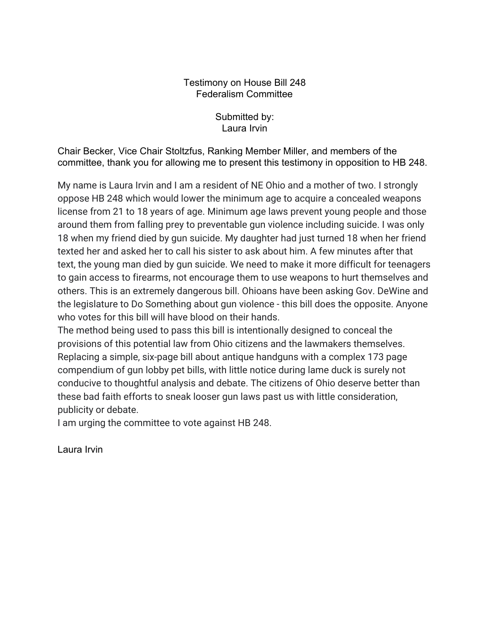## Testimony on House Bill 248 Federalism Committee

Submitted by: Laura Irvin

Chair Becker, Vice Chair Stoltzfus, Ranking Member Miller, and members of the committee, thank you for allowing me to present this testimony in opposition to HB 248.

My name is Laura Irvin and I am a resident of NE Ohio and a mother of two. I strongly oppose HB 248 which would lower the minimum age to acquire a concealed weapons license from 21 to 18 years of age. Minimum age laws prevent young people and those around them from falling prey to preventable gun violence including suicide. I was only 18 when my friend died by gun suicide. My daughter had just turned 18 when her friend texted her and asked her to call his sister to ask about him. A few minutes after that text, the young man died by gun suicide. We need to make it more difficult for teenagers to gain access to firearms, not encourage them to use weapons to hurt themselves and others. This is an extremely dangerous bill. Ohioans have been asking Gov. DeWine and the legislature to Do Something about gun violence - this bill does the opposite. Anyone who votes for this bill will have blood on their hands.

The method being used to pass this bill is intentionally designed to conceal the provisions of this potential law from Ohio citizens and the lawmakers themselves. Replacing a simple, six-page bill about antique handguns with a complex 173 page compendium of gun lobby pet bills, with little notice during lame duck is surely not conducive to thoughtful analysis and debate. The citizens of Ohio deserve better than these bad faith efforts to sneak looser gun laws past us with little consideration, publicity or debate.

I am urging the committee to vote against HB 248.

Laura Irvin